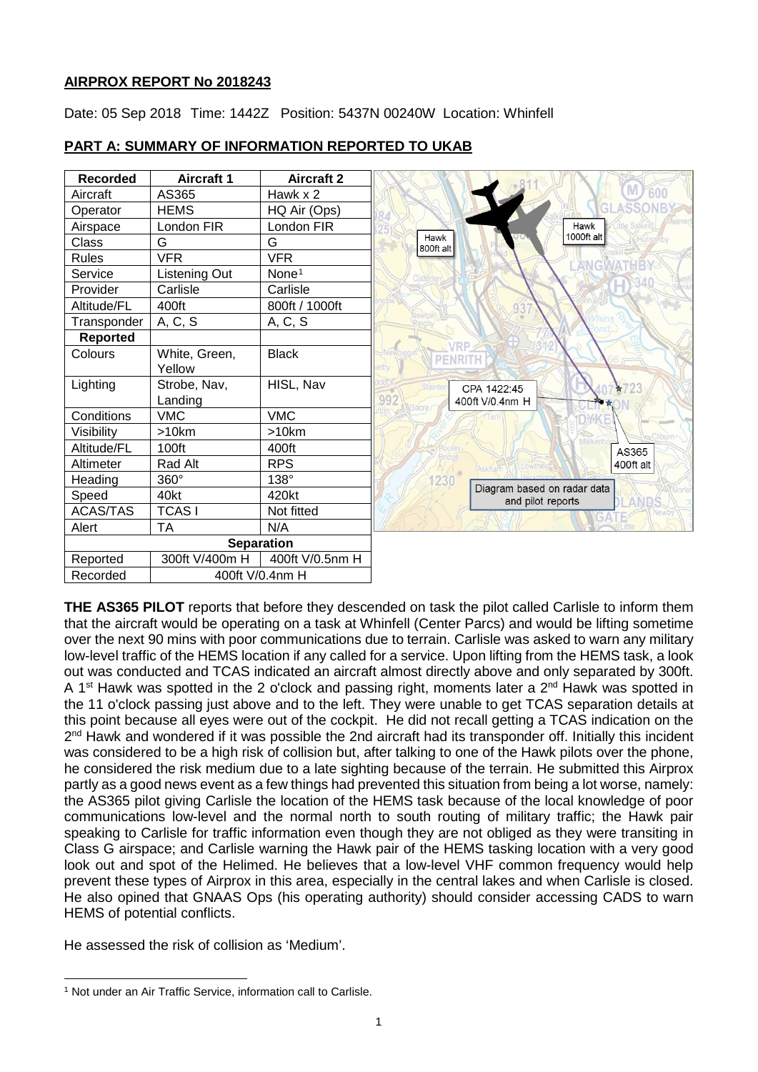## **AIRPROX REPORT No 2018243**

Date: 05 Sep 2018 Time: 1442Z Position: 5437N 00240W Location: Whinfell



# **PART A: SUMMARY OF INFORMATION REPORTED TO UKAB**

**THE AS365 PILOT** reports that before they descended on task the pilot called Carlisle to inform them that the aircraft would be operating on a task at Whinfell (Center Parcs) and would be lifting sometime over the next 90 mins with poor communications due to terrain. Carlisle was asked to warn any military low-level traffic of the HEMS location if any called for a service. Upon lifting from the HEMS task, a look out was conducted and TCAS indicated an aircraft almost directly above and only separated by 300ft. A 1<sup>st</sup> Hawk was spotted in the 2 o'clock and passing right, moments later a  $2^{nd}$  Hawk was spotted in the 11 o'clock passing just above and to the left. They were unable to get TCAS separation details at this point because all eyes were out of the cockpit. He did not recall getting a TCAS indication on the  $2<sup>nd</sup>$  Hawk and wondered if it was possible the 2nd aircraft had its transponder off. Initially this incident was considered to be a high risk of collision but, after talking to one of the Hawk pilots over the phone, he considered the risk medium due to a late sighting because of the terrain. He submitted this Airprox partly as a good news event as a few things had prevented this situation from being a lot worse, namely: the AS365 pilot giving Carlisle the location of the HEMS task because of the local knowledge of poor communications low-level and the normal north to south routing of military traffic; the Hawk pair speaking to Carlisle for traffic information even though they are not obliged as they were transiting in Class G airspace; and Carlisle warning the Hawk pair of the HEMS tasking location with a very good look out and spot of the Helimed. He believes that a low-level VHF common frequency would help prevent these types of Airprox in this area, especially in the central lakes and when Carlisle is closed. He also opined that GNAAS Ops (his operating authority) should consider accessing CADS to warn HEMS of potential conflicts.

He assessed the risk of collision as 'Medium'.

 $\overline{\phantom{a}}$ 

<span id="page-0-0"></span><sup>&</sup>lt;sup>1</sup> Not under an Air Traffic Service, information call to Carlisle.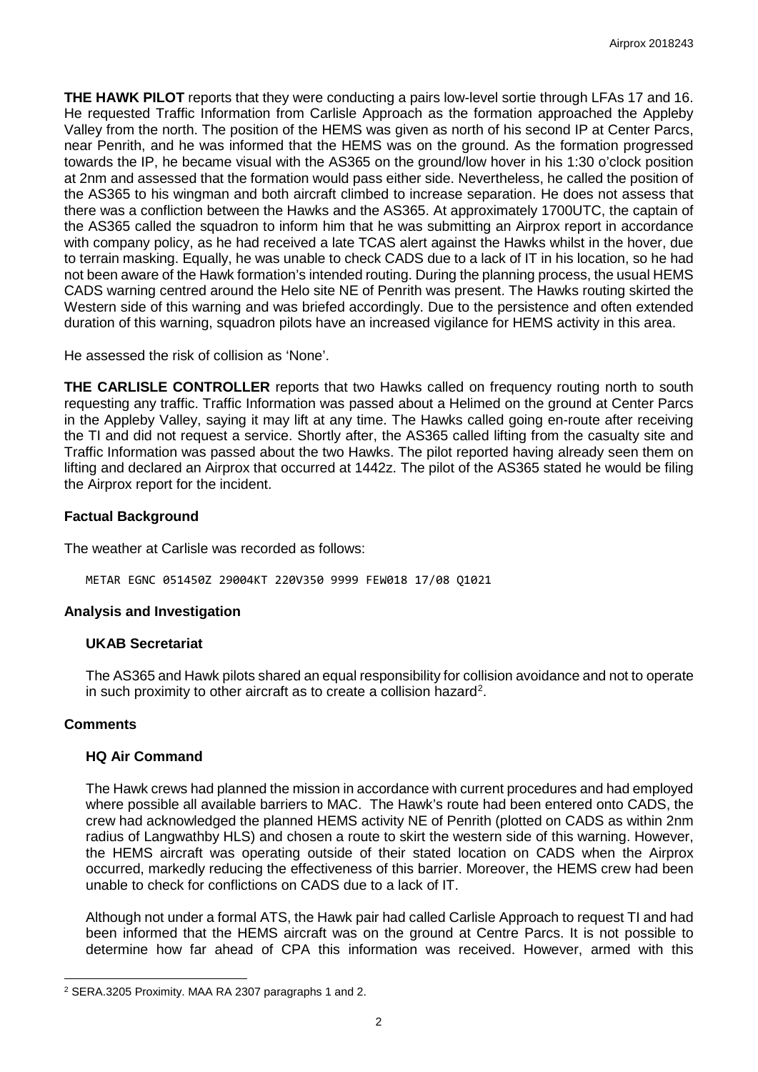**THE HAWK PILOT** reports that they were conducting a pairs low-level sortie through LFAs 17 and 16. He requested Traffic Information from Carlisle Approach as the formation approached the Appleby Valley from the north. The position of the HEMS was given as north of his second IP at Center Parcs, near Penrith, and he was informed that the HEMS was on the ground. As the formation progressed towards the IP, he became visual with the AS365 on the ground/low hover in his 1:30 o'clock position at 2nm and assessed that the formation would pass either side. Nevertheless, he called the position of the AS365 to his wingman and both aircraft climbed to increase separation. He does not assess that there was a confliction between the Hawks and the AS365. At approximately 1700UTC, the captain of the AS365 called the squadron to inform him that he was submitting an Airprox report in accordance with company policy, as he had received a late TCAS alert against the Hawks whilst in the hover, due to terrain masking. Equally, he was unable to check CADS due to a lack of IT in his location, so he had not been aware of the Hawk formation's intended routing. During the planning process, the usual HEMS CADS warning centred around the Helo site NE of Penrith was present. The Hawks routing skirted the Western side of this warning and was briefed accordingly. Due to the persistence and often extended duration of this warning, squadron pilots have an increased vigilance for HEMS activity in this area.

He assessed the risk of collision as 'None'.

**THE CARLISLE CONTROLLER** reports that two Hawks called on frequency routing north to south requesting any traffic. Traffic Information was passed about a Helimed on the ground at Center Parcs in the Appleby Valley, saying it may lift at any time. The Hawks called going en-route after receiving the TI and did not request a service. Shortly after, the AS365 called lifting from the casualty site and Traffic Information was passed about the two Hawks. The pilot reported having already seen them on lifting and declared an Airprox that occurred at 1442z. The pilot of the AS365 stated he would be filing the Airprox report for the incident.

## **Factual Background**

The weather at Carlisle was recorded as follows:

METAR EGNC 051450Z 29004KT 220V350 9999 FEW018 17/08 Q1021

## **Analysis and Investigation**

## **UKAB Secretariat**

The AS365 and Hawk pilots shared an equal responsibility for collision avoidance and not to operate in such proximity to other aircraft as to create a collision hazard<sup>[2](#page-1-0)</sup>.

## **Comments**

 $\overline{\phantom{a}}$ 

## **HQ Air Command**

The Hawk crews had planned the mission in accordance with current procedures and had employed where possible all available barriers to MAC. The Hawk's route had been entered onto CADS, the crew had acknowledged the planned HEMS activity NE of Penrith (plotted on CADS as within 2nm radius of Langwathby HLS) and chosen a route to skirt the western side of this warning. However, the HEMS aircraft was operating outside of their stated location on CADS when the Airprox occurred, markedly reducing the effectiveness of this barrier. Moreover, the HEMS crew had been unable to check for conflictions on CADS due to a lack of IT.

Although not under a formal ATS, the Hawk pair had called Carlisle Approach to request TI and had been informed that the HEMS aircraft was on the ground at Centre Parcs. It is not possible to determine how far ahead of CPA this information was received. However, armed with this

<span id="page-1-0"></span><sup>2</sup> SERA.3205 Proximity. MAA RA 2307 paragraphs 1 and 2.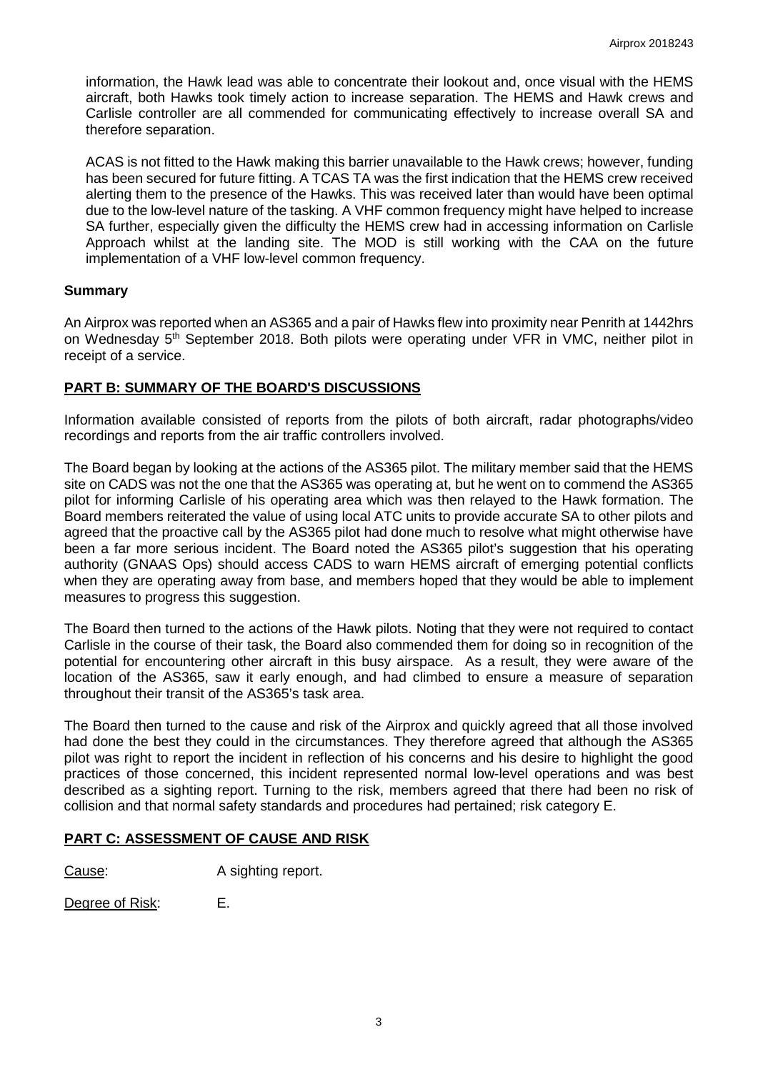information, the Hawk lead was able to concentrate their lookout and, once visual with the HEMS aircraft, both Hawks took timely action to increase separation. The HEMS and Hawk crews and Carlisle controller are all commended for communicating effectively to increase overall SA and therefore separation.

ACAS is not fitted to the Hawk making this barrier unavailable to the Hawk crews; however, funding has been secured for future fitting. A TCAS TA was the first indication that the HEMS crew received alerting them to the presence of the Hawks. This was received later than would have been optimal due to the low-level nature of the tasking. A VHF common frequency might have helped to increase SA further, especially given the difficulty the HEMS crew had in accessing information on Carlisle Approach whilst at the landing site. The MOD is still working with the CAA on the future implementation of a VHF low-level common frequency.

#### **Summary**

An Airprox was reported when an AS365 and a pair of Hawks flew into proximity near Penrith at 1442hrs on Wednesday 5<sup>th</sup> September 2018. Both pilots were operating under VFR in VMC, neither pilot in receipt of a service.

#### **PART B: SUMMARY OF THE BOARD'S DISCUSSIONS**

Information available consisted of reports from the pilots of both aircraft, radar photographs/video recordings and reports from the air traffic controllers involved.

The Board began by looking at the actions of the AS365 pilot. The military member said that the HEMS site on CADS was not the one that the AS365 was operating at, but he went on to commend the AS365 pilot for informing Carlisle of his operating area which was then relayed to the Hawk formation. The Board members reiterated the value of using local ATC units to provide accurate SA to other pilots and agreed that the proactive call by the AS365 pilot had done much to resolve what might otherwise have been a far more serious incident. The Board noted the AS365 pilot's suggestion that his operating authority (GNAAS Ops) should access CADS to warn HEMS aircraft of emerging potential conflicts when they are operating away from base, and members hoped that they would be able to implement measures to progress this suggestion.

The Board then turned to the actions of the Hawk pilots. Noting that they were not required to contact Carlisle in the course of their task, the Board also commended them for doing so in recognition of the potential for encountering other aircraft in this busy airspace. As a result, they were aware of the location of the AS365, saw it early enough, and had climbed to ensure a measure of separation throughout their transit of the AS365's task area.

The Board then turned to the cause and risk of the Airprox and quickly agreed that all those involved had done the best they could in the circumstances. They therefore agreed that although the AS365 pilot was right to report the incident in reflection of his concerns and his desire to highlight the good practices of those concerned, this incident represented normal low-level operations and was best described as a sighting report. Turning to the risk, members agreed that there had been no risk of collision and that normal safety standards and procedures had pertained; risk category E.

#### **PART C: ASSESSMENT OF CAUSE AND RISK**

Cause: A sighting report.

Degree of Risk: E.